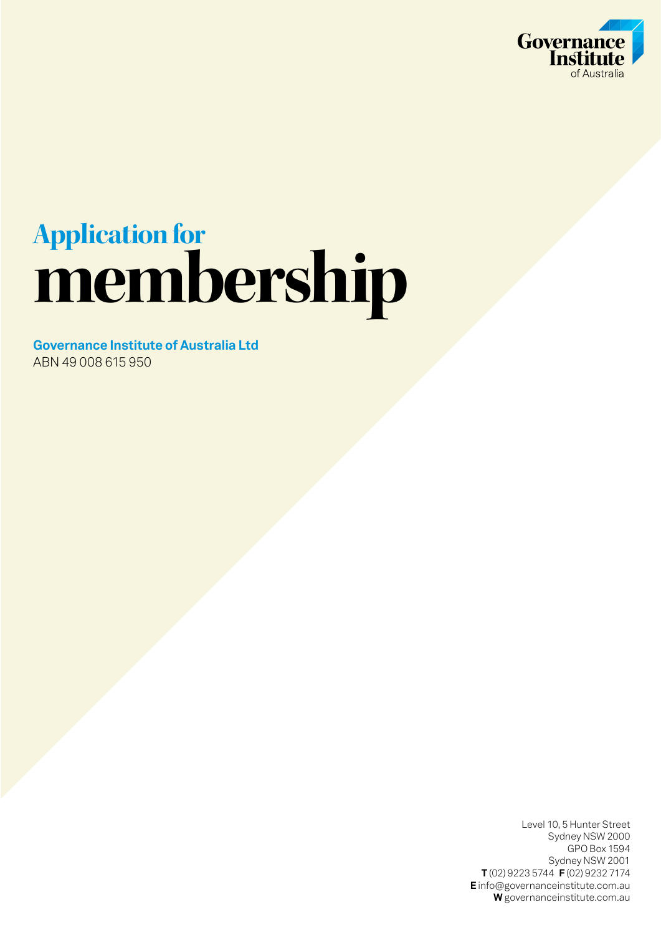

# **Application for membership**

**Governance Institute of Australia Ltd** ABN 49 008 615 950

> Level 10, 5 Hunter Street Sydney NSW 2000 GPO Box 1594 Sydney NSW 2001 **T** (02) 9223 5744 **F** (02) 9232 7174 **E** info@governanceinstitute.com.au **W** governanceinstitute.com.au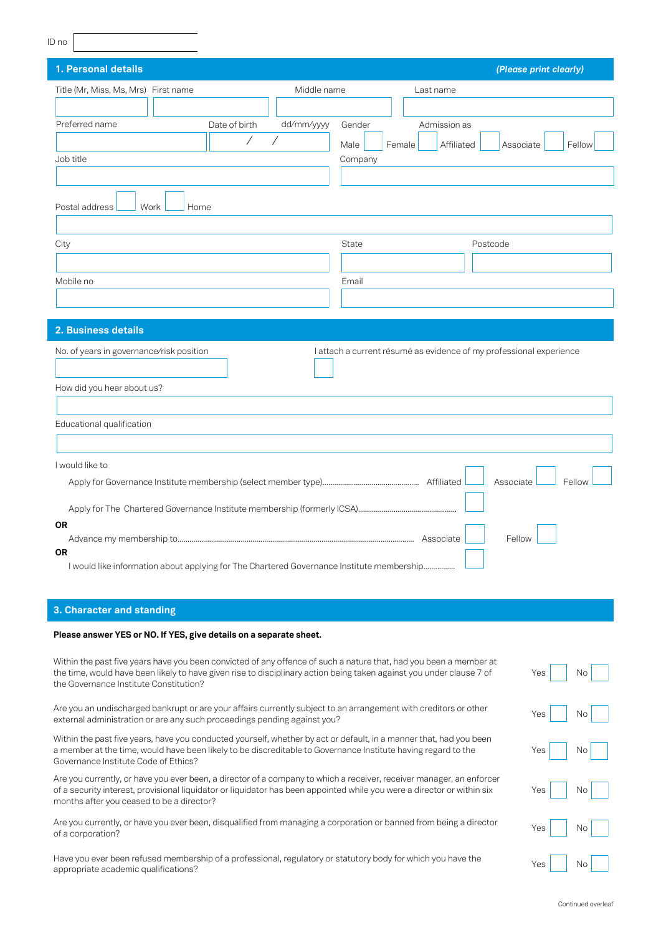#### ID no

| 1. Personal details                                                                       |                             |         |                      | (Please print clearly)                                              |  |
|-------------------------------------------------------------------------------------------|-----------------------------|---------|----------------------|---------------------------------------------------------------------|--|
| Title (Mr, Miss, Ms, Mrs) First name                                                      | Middle name                 |         | Last name            |                                                                     |  |
|                                                                                           |                             |         |                      |                                                                     |  |
| Preferred name                                                                            | Date of birth<br>dd/mm/yyyy | Gender  | Admission as         |                                                                     |  |
|                                                                                           | Γ                           | Male    | Female<br>Affiliated | Fellow<br>Associate                                                 |  |
| Job title                                                                                 |                             | Company |                      |                                                                     |  |
|                                                                                           |                             |         |                      |                                                                     |  |
|                                                                                           |                             |         |                      |                                                                     |  |
| Postal address<br>Work<br>Home                                                            |                             |         |                      |                                                                     |  |
|                                                                                           |                             |         |                      |                                                                     |  |
| City                                                                                      |                             | State   |                      | Postcode                                                            |  |
|                                                                                           |                             |         |                      |                                                                     |  |
|                                                                                           |                             |         |                      |                                                                     |  |
| Mobile no                                                                                 |                             | Email   |                      |                                                                     |  |
|                                                                                           |                             |         |                      |                                                                     |  |
|                                                                                           |                             |         |                      |                                                                     |  |
| 2. Business details                                                                       |                             |         |                      |                                                                     |  |
| No. of years in governance/risk position                                                  |                             |         |                      | I attach a current résumé as evidence of my professional experience |  |
|                                                                                           |                             |         |                      |                                                                     |  |
| How did you hear about us?                                                                |                             |         |                      |                                                                     |  |
|                                                                                           |                             |         |                      |                                                                     |  |
| Educational qualification                                                                 |                             |         |                      |                                                                     |  |
|                                                                                           |                             |         |                      |                                                                     |  |
|                                                                                           |                             |         |                      |                                                                     |  |
| I would like to                                                                           |                             |         |                      |                                                                     |  |
|                                                                                           |                             |         |                      | Fellow<br>Associate                                                 |  |
|                                                                                           |                             |         |                      |                                                                     |  |
| <b>OR</b>                                                                                 |                             |         |                      |                                                                     |  |
|                                                                                           |                             |         |                      | Fellow                                                              |  |
| <b>OR</b>                                                                                 |                             |         |                      |                                                                     |  |
| I would like information about applying for The Chartered Governance Institute membership |                             |         |                      |                                                                     |  |

### **3. Character and standing**

#### **Please answer YES or NO. If YES, give details on a separate sheet.**

Within the past five years have you been convicted of any offence of such a nature that, had you been a member at the time, would have been likely to have given rise to disciplinary action being taken against you under clause 7 of the Governance Institute Constitution?

Are you an undischarged bankrupt or are your affairs currently subject to an arrangement with creditors or other external administration or are any such proceedings pending against you?

Within the past five years, have you conducted yourself, whether by act or default, in a manner that, had you been a member at the time, would have been likely to be discreditable to Governance Institute having regard to the Governance Institute Code of Ethics?

Are you currently, or have you ever been, a director of a company to which a receiver, receiver manager, an enforcer of a security interest, provisional liquidator or liquidator has been appointed while you were a director or within six months after you ceased to be a director?

Are you currently, or have you ever been, disqualified from managing a corporation or banned from being a director  $Yes$  [  $\Box$  No  $\Box$ 

Have you ever been refused membership of a professional, regulatory or statutory body for which you have the appropriate academic qualifications?

| Yes $\vert$ No $\vert$                          |               |
|-------------------------------------------------|---------------|
| Yes $\vert \vert$                               | $\mathsf{No}$ |
| Yes $\begin{array}{ c c c } \hline \end{array}$ | $\mathsf{No}$ |
| Yes $\vert$ $\vert$                             | $\mathsf{No}$ |
| Yes $\vert \ \ \ \vert$                         | $\mathsf{No}$ |
| Yes                                             | No            |

Continued overleaf